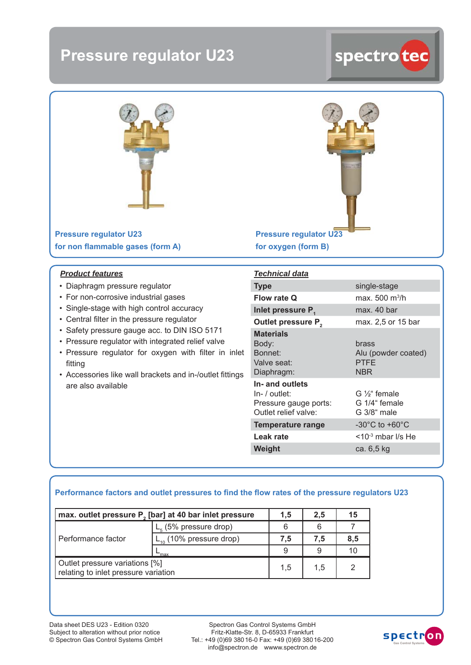## **Pressure regulator U23**

# spectro teo



**Pressure regulator U23** for non flammable gases (form A)

#### *Product features*

- Diaphragm pressure regulator
- For non-corrosive industrial gases
- Single-stage with high control accuracy
- Central filter in the pressure regulator
- Safety pressure gauge acc. to DIN ISO 5171
- Pressure regulator with integrated relief valve
- Pressure regulator for oxygen with filter in inlet fitting
- Accessories like wall brackets and in-/outlet fittings are also available

**Pressure regulator U23 for oxygen (form B)**

| <b>Technical data</b>                                                               |                                                           |
|-------------------------------------------------------------------------------------|-----------------------------------------------------------|
| <b>Type</b>                                                                         | single-stage                                              |
| Flow rate Q                                                                         | max. 500 m <sup>3</sup> /h                                |
| Inlet pressure P.                                                                   | max. 40 bar                                               |
| Outlet pressure P <sub>2</sub>                                                      | max. 2,5 or 15 bar                                        |
| <b>Materials</b><br>Body:<br>Bonnet:<br>Valve seat:<br>Diaphragm:                   | brass<br>Alu (powder coated)<br><b>PTFE</b><br><b>NBR</b> |
| In- and outlets<br>$In-$ / outlet:<br>Pressure gauge ports:<br>Outlet relief valve: | $G\frac{1}{3}$ female<br>G 1/4" female<br>G 3/8" male     |
| Temperature range                                                                   | -30 $^{\circ}$ C to +60 $^{\circ}$ C                      |
| Leak rate                                                                           | $<$ 10 $3$ mbar I/s He                                    |
| Weight                                                                              | ca. 6,5 kg                                                |

#### Performance factors and outlet pressures to find the flow rates of the pressure regulators U23

| max. outlet pressure P <sub>2</sub> [bar] at 40 bar inlet pressure     |                              | 1.5 | 2.5 | 15  |
|------------------------------------------------------------------------|------------------------------|-----|-----|-----|
| Performance factor                                                     | $L_{5}$ (5% pressure drop)   |     |     |     |
|                                                                        | $L_{10}$ (10% pressure drop) | 7.5 | 7.5 | 8,5 |
|                                                                        | 'may                         | 9   |     |     |
| Outlet pressure variations [%]<br>relating to inlet pressure variation |                              | 1.5 | 1.5 |     |

Data sheet DES U23 - Edition 0320 Subject to alteration without prior notice © Spectron Gas Control Systems GmbH

Spectron Gas Control Systems GmbH Fritz-Klatte-Str. 8, D-65933 Frankfurt Tel.: +49 (0)69 380 16-0 Fax: +49 (0)69 380 16-200 info@spectron.de wwww.spectron.de